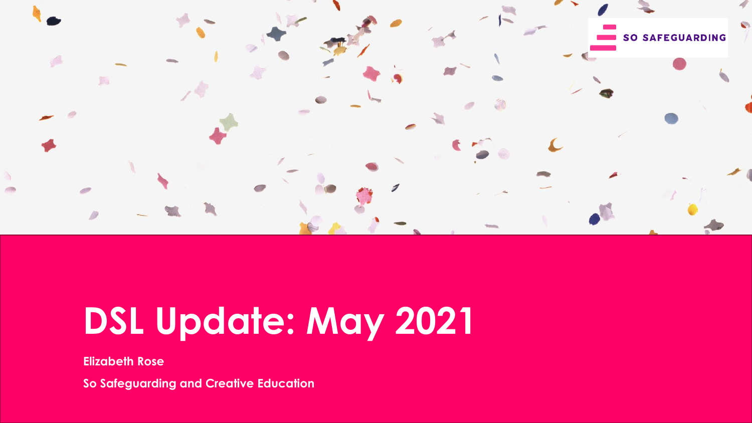

## **DSL Update: May 2021**

**Elizabeth Rose**

**So Safeguarding and Creative Education**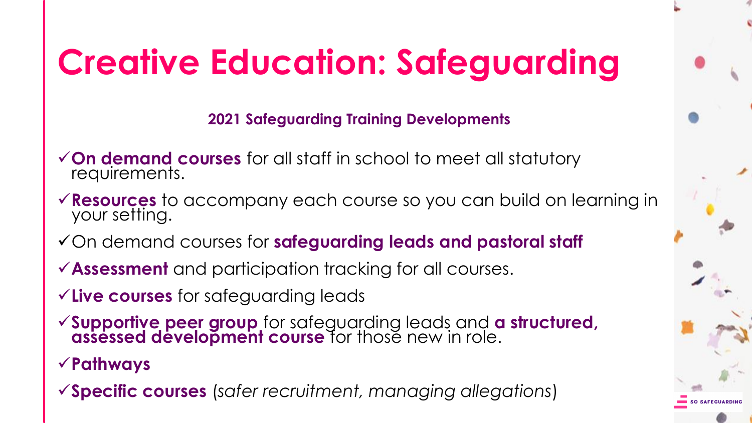# **Creative Education: Safeguarding**

**2021 Safeguarding Training Developments**

- ✓**On demand courses** for all staff in school to meet all statutory requirements.
- ✓**Resources** to accompany each course so you can build on learning in your setting.
- ✓On demand courses for **safeguarding leads and pastoral staff**
- ✓**Assessment** and participation tracking for all courses.
- ✓**Live courses** for safeguarding leads
- ✓**Supportive peer group** for safeguarding leads and **a structured, assessed development course** for those new in role.
- ✓**Pathways**
- ✓**Specific courses** (*safer recruitment, managing allegations*)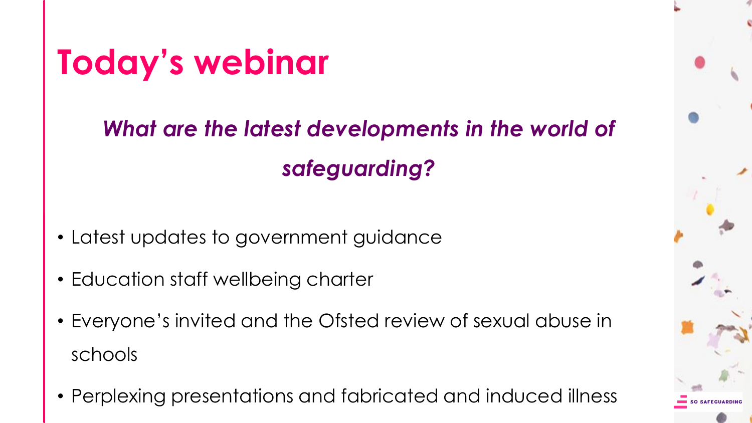### **Today's webinar**

### *What are the latest developments in the world of safeguarding?*

- Latest updates to government guidance
- Education staff wellbeing charter
- Everyone's invited and the Ofsted review of sexual abuse in schools
- Perplexing presentations and fabricated and induced illness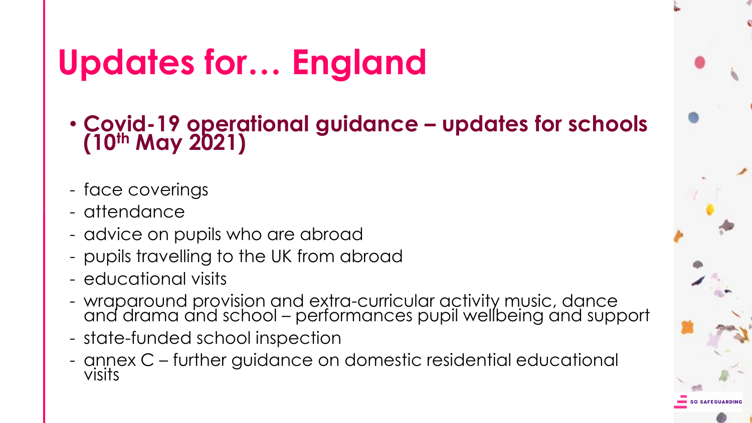## **Updates for… England**

• **Covid-19 operational guidance – updates for schools (10th May 2021)**

- face coverings
- attendance
- advice on pupils who are abroad
- pupils travelling to the UK from abroad
- educational visits
- wraparound provision and extra-curricular activity music, dance and drama and school – performances pupil wellbeing and support
- state-funded school inspection
- annex C further guidance on domestic residential educational visits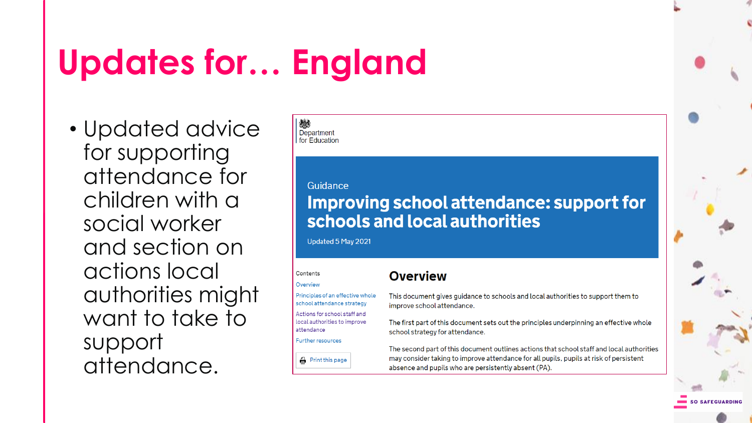## **Updates for… England**

• Updated advice for supporting attendance for children with a social worker and section on actions local authorities might want to take to support attendance.

嫁 Department for Education

### Guidance

### Improving school attendance: support for schools and local authorities

**Overview** 

Updated 5 May 2021

### Contents

Overview

Principles of an effective whole school attendance strategy Actions for school staff and local authorities to improve attendance

**Further resources** 

### **Print this page**

This document gives guidance to schools and local authorities to support them to improve school attendance.

The first part of this document sets out the principles underpinning an effective whole school strategy for attendance.

The second part of this document outlines actions that school staff and local authorities may consider taking to improve attendance for all pupils, pupils at risk of persistent absence and pupils who are persistently absent (PA).

**SO SAFEGUARDING**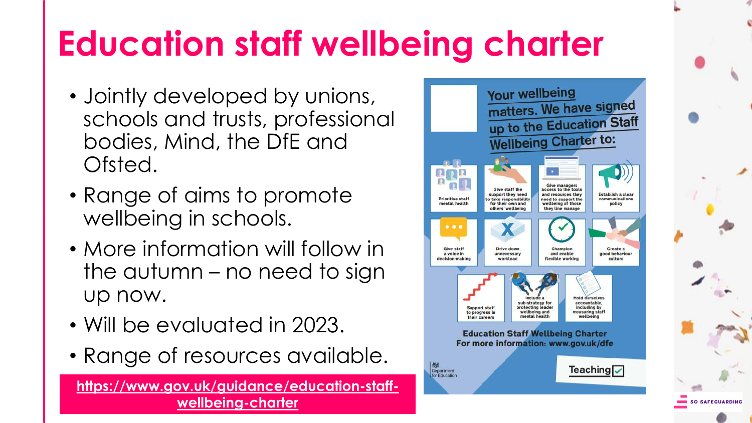# **Education staff wellbeing charter**

- Jointly developed by unions, schools and trusts, professional bodies, Mind, the DfE and Ofsted.
- Range of aims to promote wellbeing in schools.
- More information will follow in the autumn – no need to sign up now.
- Will be evaluated in 2023.
- Range of resources available.

**[https://www.gov.uk/guidance/education-staff](https://www.gov.uk/guidance/education-staff-wellbeing-charter)wellbeing-charter**

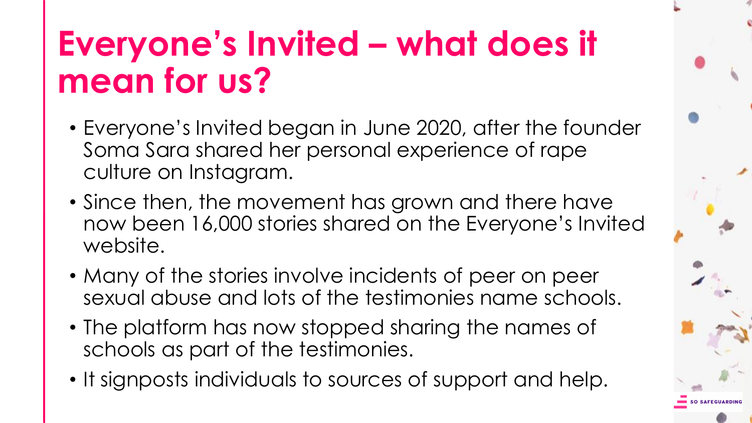### **Everyone's Invited – what does it mean for us?**

- Everyone's Invited began in June 2020, after the founder Soma Sara shared her personal experience of rape culture on Instagram.
- Since then, the movement has grown and there have now been 16,000 stories shared on the Everyone's Invited website.
- Many of the stories involve incidents of peer on peer sexual abuse and lots of the testimonies name schools.
- The platform has now stopped sharing the names of schools as part of the testimonies.
- It signposts individuals to sources of support and help.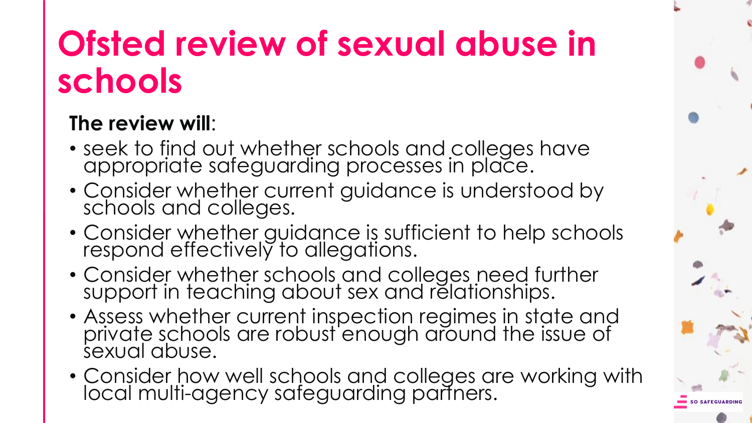### **Ofsted review of sexual abuse in schools**

### **The review will**:

- seek to find out whether schools and colleges have appropriate safeguarding processes in place.
- Consider whether current guidance is understood by schools and colleges.
- Consider whether guidance is sufficient to help schools respond effectively to allegations.
- Consider whether schools and colleges need further support in teaching about sex and relationships.
- Assess whether current inspection regimes in state and private schools are robust enough around the issue of sexual abuse.
- Consider how well schools and colleges are working with local multi-agency safeguarding partners.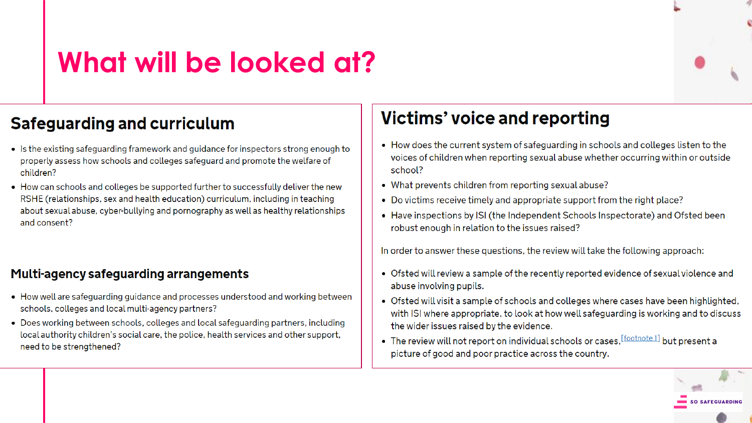### **What will be looked at?**

### **Safeguarding and curriculum**

- Is the existing safeguarding framework and guidance for inspectors strong enough to properly assess how schools and colleges safeguard and promote the welfare of children?
- How can schools and colleges be supported further to successfully deliver the new RSHE (relationships, sex and health education) curriculum, including in teaching about sexual abuse, cyber-bullying and pornography as well as healthy relationships and consent?

### Multi-agency safeguarding arrangements

- How well are safeguarding guidance and processes understood and working between schools, colleges and local multi-agency partners?
- Does working between schools, colleges and local safeguarding partners, including local authority children's social care, the police, health services and other support, need to be strengthened?

### **Victims' voice and reporting**

- How does the current system of safeguarding in schools and colleges listen to the voices of children when reporting sexual abuse whether occurring within or outside school?
- What prevents children from reporting sexual abuse?
- Do victims receive timely and appropriate support from the right place?
- Have inspections by ISI (the Independent Schools Inspectorate) and Ofsted been robust enough in relation to the issues raised?

In order to answer these questions, the review will take the following approach:

- Ofsted will review a sample of the recently reported evidence of sexual violence and abuse involving pupils.
- Ofsted will visit a sample of schools and colleges where cases have been highlighted, with ISI where appropriate, to look at how well safeguarding is working and to discuss the wider issues raised by the evidence.
- The review will not report on individual schools or cases,  $[footnote 1]$  but present a picture of good and poor practice across the country.

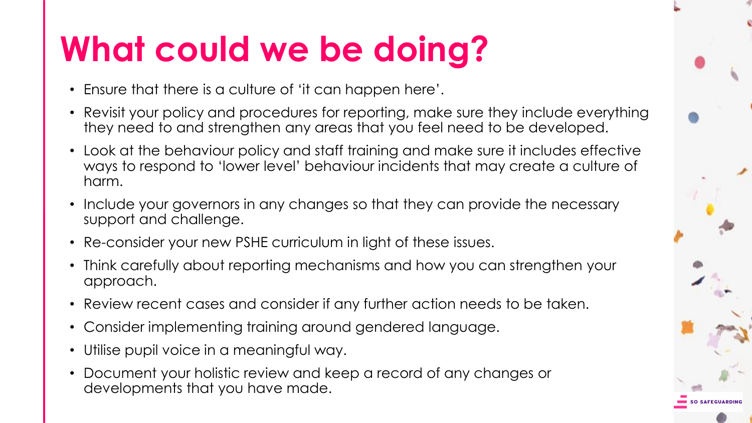### **What could we be doing?**

- Ensure that there is a culture of 'it can happen here'.
- Revisit your policy and procedures for reporting, make sure they include everything they need to and strengthen any areas that you feel need to be developed.
- Look at the behaviour policy and staff training and make sure it includes effective ways to respond to 'lower level' behaviour incidents that may create a culture of harm.
- Include your governors in any changes so that they can provide the necessary support and challenge.
- Re-consider your new PSHE curriculum in light of these issues.
- Think carefully about reporting mechanisms and how you can strengthen your approach.
- Review recent cases and consider if any further action needs to be taken.
- Consider implementing training around gendered language.
- Utilise pupil voice in a meaningful way.
- Document your holistic review and keep a record of any changes or developments that you have made.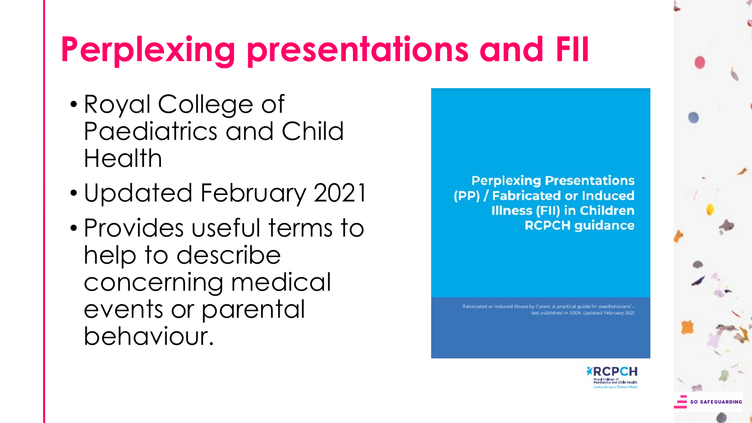## **Perplexing presentations and FII**

- Royal College of Paediatrics and Child Health
- Updated February 2021
- Provides useful terms to help to describe concerning medical events or parental behaviour.

**Perplexing Presentations** (PP) / Fabricated or Induced **Illness (FII) in Children RCPCH guidance** 

'Fabricated or Induced Illness by Carers: A practical guide for paediatricians' last published in 2009. Updated February 2021

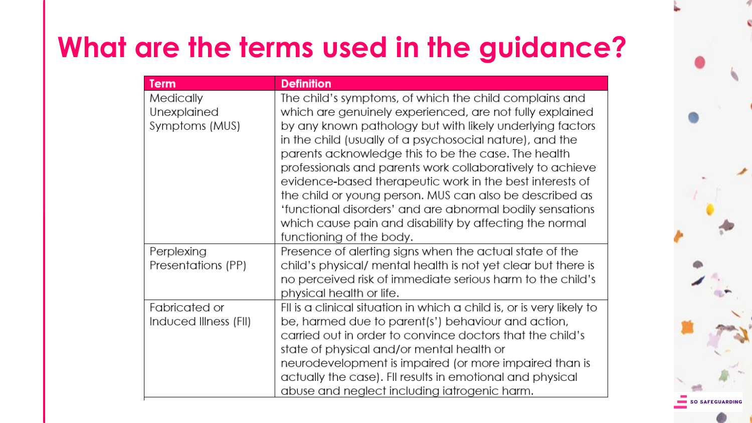### **What are the terms used in the guidance?**

| <b>Term</b>                                | <b>Definition</b>                                                                                                                                                                                                                                                                                                                                                                                                                                                                                                                                                                                                                          |
|--------------------------------------------|--------------------------------------------------------------------------------------------------------------------------------------------------------------------------------------------------------------------------------------------------------------------------------------------------------------------------------------------------------------------------------------------------------------------------------------------------------------------------------------------------------------------------------------------------------------------------------------------------------------------------------------------|
| Medically<br>Unexplained<br>Symptoms (MUS) | The child's symptoms, of which the child complains and<br>which are genuinely experienced, are not fully explained<br>by any known pathology but with likely underlying factors<br>in the child (usually of a psychosocial nature), and the<br>parents acknowledge this to be the case. The health<br>professionals and parents work collaboratively to achieve<br>evidence-based therapeutic work in the best interests of<br>the child or young person. MUS can also be described as<br>'functional disorders' and are abnormal bodily sensations<br>which cause pain and disability by affecting the normal<br>functioning of the body. |
| Perplexing<br>Presentations (PP)           | Presence of alerting signs when the actual state of the<br>child's physical/ mental health is not yet clear but there is<br>no perceived risk of immediate serious harm to the child's<br>physical health or life.                                                                                                                                                                                                                                                                                                                                                                                                                         |
| Fabricated or<br>Induced Illness (FII)     | FII is a clinical situation in which a child is, or is very likely to<br>be, harmed due to parent(s') behaviour and action,<br>carried out in order to convince doctors that the child's<br>state of physical and/or mental health or<br>neurodevelopment is impaired (or more impaired than is<br>actually the case). Fil results in emotional and physical<br>abuse and neglect including iatrogenic harm.                                                                                                                                                                                                                               |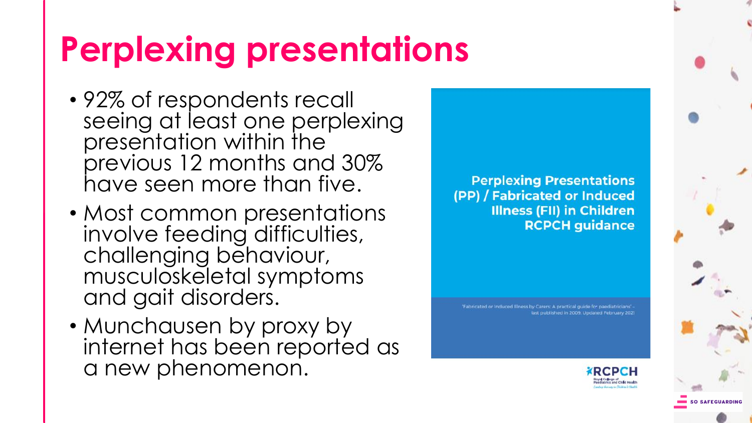## **Perplexing presentations**

- 92% of respondents recall seeing at least one perplexing presentation within the previous 12 months and 30% have seen more than five.
- Most common presentations involve feeding difficulties, challenging behaviour, musculoskeletal symptoms and gait disorders.
- Munchausen by proxy by internet has been reported as a new phenomenon.

**Perplexing Presentations** (PP) / Fabricated or Induced **Illness (FII) in Children RCPCH guidance** 

'Fabricated or Induced Illness by Carers: A practical guide for paediatricians' last published in 2009. Updated February 2021

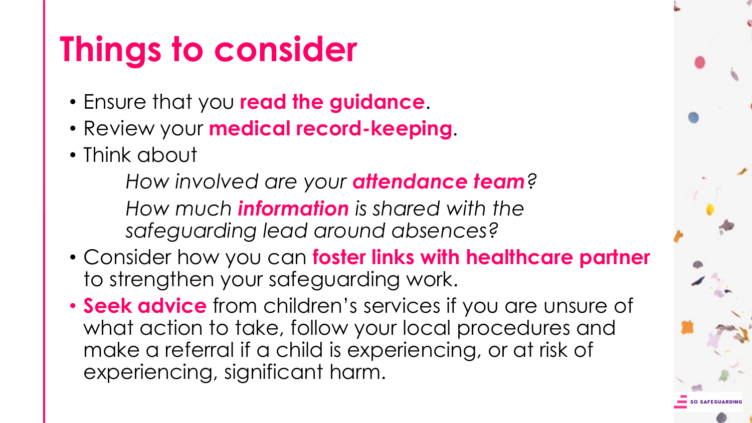# **Things to consider**

- Ensure that you **read the guidance**.
- Review your **medical record-keeping**.
- Think about

*How involved are your attendance team? How much information is shared with the safeguarding lead around absences?*

- Consider how you can **foster links with healthcare partner** to strengthen your safeguarding work.
- **Seek advice** from children's services if you are unsure of what action to take, follow your local procedures and make a referral if a child is experiencing, or at risk of experiencing, significant harm.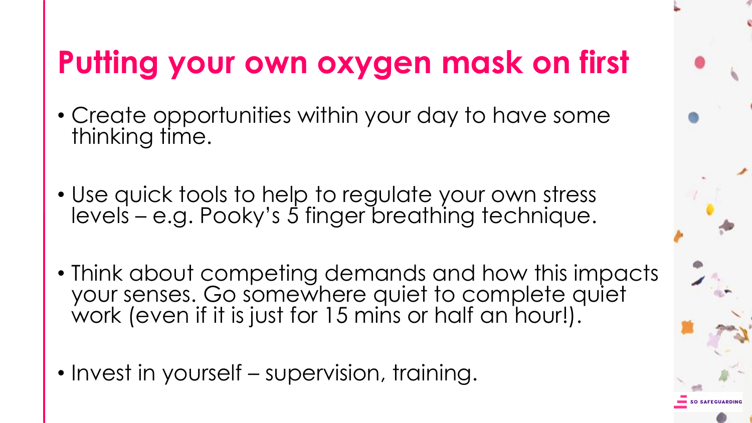### **Putting your own oxygen mask on first**

- Create opportunities within your day to have some thinking time.
- Use quick tools to help to regulate your own stress levels – e.g. Pooky's 5 finger breathing technique.
- Think about competing demands and how this impacts your senses. Go somewhere quiet to complete quiet work (even if it is just for 15 mins or half an hour!).
- Invest in yourself supervision, training.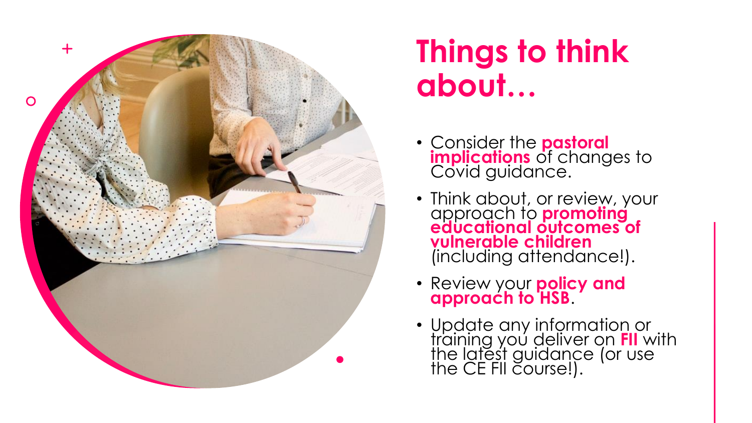

### **Things to think about…**

- Consider the **pastoral implications** of changes to Covid guidance.
- Think about, or review, your approach to **promoting educational outcomes of vulnerable children**  (including attendance!).
- Review your **policy and approach to HSB**.
- Update any information or training you deliver on **FII** with the latest guidance (or use the CE FII course!).